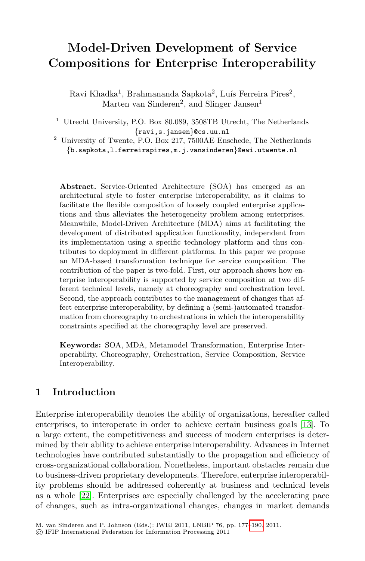# **Model-Driven Development of Service Compositions for Enterprise Interoperability**

Ravi Khadka<sup>1</sup>, Brahmananda Sapkota<sup>2</sup>, Luís Ferreira Pires<sup>2</sup>, Marten van Sinderen<sup>2</sup>, and Slinger Jansen<sup>1</sup>

 $^{\rm 1}$  Utrecht University, P.O. Box 80.089, 3508TB Utrecht, The Netherlands

*{*ravi,s.jansen*}*@cs.uu.nl <sup>2</sup> University of Twente, P.O. Box 217, 7500AE Enschede, The Netherlands *{*b.sapkota,l.ferreirapires,m.j.vansinderen*}*@ewi.utwente.nl

**Abstract.** Service-Oriented Architecture (SOA) has emerged as an architectural style to foster enterprise interoperability, as it claims to facilitate the flexible composition of loosely coupled enterprise applications and thus alleviates the heterogeneity problem among enterprises. Meanwhile, Model-Driven Architecture (MDA) aims at facilitating the development of distributed application functionality, independent from its implementation using a specific technology platform and thus contributes to deployment in different platforms. In this paper we propose an MDA-based transformation technique for service composition. The contribution of the paper is two-fold. First, our approach shows how enterprise interoperability is supported by service composition at two different technical levels, namely at choreography and orchestration level. Second, the approach contributes to the management of changes that affect enterprise interoperability, by defining a (semi-)automated transformation from choreography to orchestrations in which the interoperability constraints specified at the choreography level are preserved.

**Keywords:** SOA, MDA, Metamodel Transforma[tion](#page-13-0), Enterprise Interoperability, Choreography, Orchestration, Service Composition, Service Interoperability.

## **1 Introduction**

Enterprise interoperability denotes the ability of organizations, hereafter called enterprises, to interoperate in order to achieve certain business goals [13]. To a large extent, the competitiveness and success of modern enterprises is determined by their ability to achieve enterp[rise i](#page-13-1)nteroperability. Advances in Internet technologies have contributed substantially to the propagation and efficiency of cross-organizational collaboration. Nonetheless, important obstacles remain due to business-driven proprietary developments. Therefore, enterprise interoperability problems should be addressed coherently at business and technical levels as a whole [22]. Enterprises are especially challenged by the accelerating pace of changes, such as intra-organizational changes, changes in market demands

M. van Sinderen and P. Johnson (Eds.): IWEI 2011, LNBIP 76, pp. 177–190, 2011.

IFIP International Federation for Information Processing 2011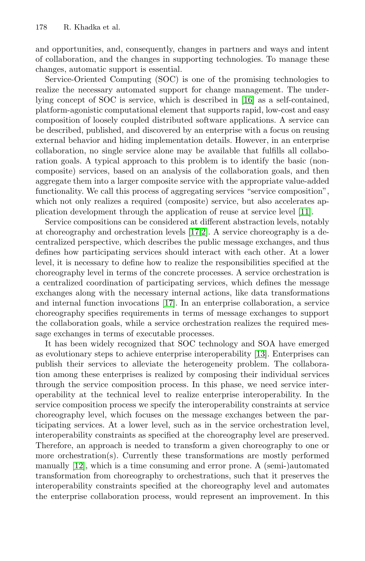and opportunities, and, consequently, changes in partners and ways and intent of collaboration, and the changes in supporting technologies. To manage these changes, automatic support is essential.

Service-Oriented Computing (SOC) is one of the promising technologies to realize the necessary automated support for change management. The underlying concept of SOC is service, which is described in [16] as a self-contained, platform-agonistic computational element that supports rapid, low-cost and easy composition of loosely coupled distributed software applications. A service can be described, published, and discovered by an enterp[rise](#page-13-2) with a focus on reusing external behavior and hiding implementation details. However, in an enterprise collaboration, no singl[e s](#page-13-3)[er](#page-12-0)vice alone may be available that fulfills all collaboration goals. A typical approach to this problem is to identify the basic (noncomposite) services, based on an analysis of the collaboration goals, and then aggregate them into a larger composite service with the appropriate value-added functionality. We call this process of aggregating services "service composition", which not only realizes a required (composite) service, but also accelerates application development through the application of reuse at service level [11].

Service comp[osit](#page-13-3)ions can be considered at different abstraction levels, notably at choreography and orchestration levels [17,2]. A service choreography is a decentralized perspective, which describes the public message exchanges, and thus defines how participating services should interact with each other. At a lower level, it is necessary to define how to realize the responsibilities specified at the choreography level in terms of the concr[ete](#page-13-0) processes. A service orchestration is a centralized coordination of participating services, which defines the message exchanges along with the necessary internal actions, like data transformations and internal function invocations [17]. In an enterprise collaboration, a service choreography specifies requirements in terms of message exchanges to support the collaboration goals, while a service orchestration realizes the required message exchanges in terms of executable processes.

It has been widely recognized that SOC technology and SOA have emerged as evolutionary steps to achieve enterprise interoperability [13]. Enterprises can publish their services to alleviate the heterogeneity problem. The collaboration among these enterprises is realized by composing their individual services through the service composition process. In this phase, we need service interoperability at the technical level to realize enterprise interoperability. In the service composition process we specify the interoperability constraints at service choreography level, which focuses on the message exchanges between the participating services. At a lower level, such as in the service orchestration level, interoperability constraints as specified at the choreography level are preserved. Therefore, an approach is needed to transform a given choreography to one or more orchestration(s). Currently these transformations are mostly performed manually [12], which is a time consuming and error prone. A (semi-)automated transformation from choreography to orchestrations, such that it preserves the interoperability constraints specified at the choreography level and automates the enterprise collaboration process, would represent an improvement. In this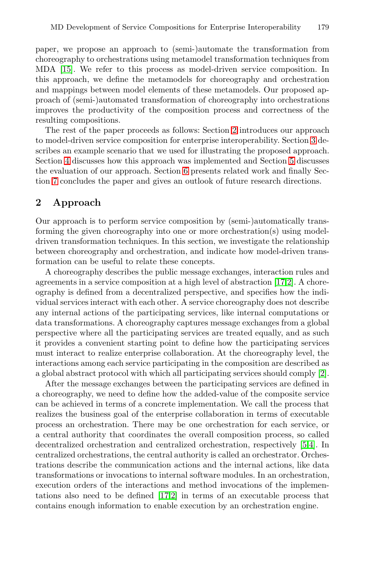paper, we propose an approach [to](#page-2-0) (semi-)automate the transformation from choreography to orchestrations using metamodel transfo[rm](#page-4-0)ation techniques from MDA [15]. We refer to this process as model-driven service composition. In this approach, we define the metamodels for ch[or](#page-8-0)eography and orchestration and mappings betwe[en](#page-10-0) model elements of these metamodels. Our proposed approach of (semi-)automated transformation of choreography into orchestrations improves the productivity of the composition process and correctness of the resulting compositions.

<span id="page-2-0"></span>The rest of the paper proceeds as follows: Section 2 introduces our approach to model-driven service composition for enterprise interoperability. Section 3 describes an example scenario that we used for illustrating the proposed approach. Section 4 discusses how this approach was implemented and Section 5 discusses the evaluation of our approach. Section 6 presents related work and finally Section 7 concludes the paper and gives an outlook of future research directions.

## **2 Approach**

Our approach is to perform service composition by (semi-)automatically transforming the given choreography into one or more orchestration(s) using modeldriven transformation techniques. In this section, we investigate the relationship between choreography and orchestration, and indicate how model-driven transformation can be useful to relate these concepts.

A choreography describes the public message exchanges, interaction rules and agreements in a service composition at a high level of abstraction [17,2]. A choreography is defined from a decentralized perspective, and [sp](#page-12-0)ecifies how the individual services interact with each other. A service choreography does not describe any internal actions of the participating services, like internal computations or data transformations. A choreography captures message exchanges from a global perspective where all the participating services are treated equally, and as such it provides a convenient starting point to define how the participating services must interact to realize enterprise collaboration. At the choreography level, the interactions among each service participating in the c[om](#page-12-1)[p](#page-12-2)osition are described as a global abstract protocol with which all participating services should comply [2].

After the message exchanges between the participating services are defined in a choreography, we need to define how the added-value of the composite service can be achieved in terms of a concrete implementation. We call the process that realizes the b[usin](#page-13-3)[es](#page-12-0)s goal of the enterprise collaboration in terms of executable process an orchestration. There may be one orchestration for each service, or a central authority that coordinates the overall composition process, so called decentralized orchestration and centralized orchestration, respectively [5,4]. In centralized orchestrations, the central authority is called an orchestrator. Orchestrations describe the communication actions and the internal actions, like data transformations or invocations to internal software modules. In an orchestration, execution orders of the interactions and method invocations of the implementations also need to be defined [17,2] in terms of an executable process that contains enough information to enable execution by an orchestration engine.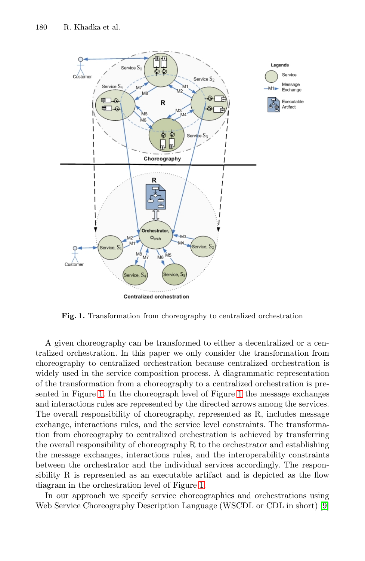

<span id="page-3-0"></span>**Fig. 1.** Transformation from c[ho](#page-3-0)reography to centralized orchestration

A given choreography can be transformed to either a decentralized or a centralized orchestration. In this paper we only consider the transformation from choreography to centralized orchestration because centralized orchestration is widely used in the service composition process. A diagrammatic representation of the transformation from a choreography to a centralized orchestration is presented in Figure 1. In the choreograph level of Figure 1 the message exchanges and interactions rules are [re](#page-3-0)presented by the directed arrows among the services. The overall responsibility of choreography, represented as R, includes message exchange, interactions rules, and the service level constra[int](#page-13-4)s. The transformation from choreography to centralized orchestration is achieved by transferring the overall responsibility of choreography R to the orchestrator and establishing the message exchanges, interactions rules, and the interoperability constraints between the orchestrator and the individual services accordingly. The responsibility R is represented as an executable artifact and is depicted as the flow diagram in the orchestration level of Figure 1.

In our approach we specify service choreographies and orchestrations using Web Service Choreography Description Language (WSCDL or CDL in short) [9]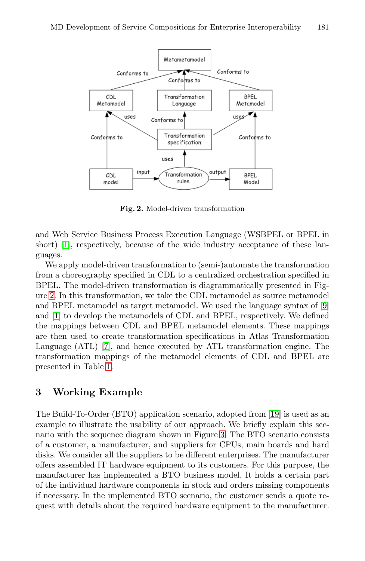

<span id="page-4-1"></span>**Fig. 2.** Model-driven transformation

and Web Service Business Process Execution Language ([WS](#page-13-4)BPEL or BPEL in short) [1], respectively, because of the wide industry acceptance of these languages.

<span id="page-4-0"></span>We apply model-driven transformation to (semi-)automate the transformation [fr](#page-12-3)om a choreography specified in CDL to a centralized orchestration specified in [BP](#page-5-0)EL. The model-driven transformation is diagrammatically presented in Figure 2. In this transformation, we take the CDL metamodel as source metamodel and BPEL metamodel as target metamodel. We used the language syntax of [9] and [1] to develop the metamodels of CDL and BPEL, respectively. We defined the mappings between CDL and BPEL metamodel elements. These mappings are then used to create transformation spe[cific](#page-13-5)ations in Atlas Transformation Language (ATL) [7], and hence executed by ATL transformation engine. The transformation mappings of t[he](#page-6-0) metamodel elements of CDL and BPEL are presented in Table 1.

## **3 Working Example**

The Build-To-Order (BTO) application scenario, adopted from [19] is used as an example to illustrate the usability of our approach. We briefly explain this scenario with the sequence diagram shown in Figure 3. The BTO scenario consists of a customer, a manufacturer, and suppliers for CPUs, main boards and hard disks. We consider all the suppliers to be different enterprises. The manufacturer offers assembled IT hardware equipment to its customers. For this purpose, the manufacturer has implemented a BTO business model. It holds a certain part of the individual hardware components in stock and orders missing components if necessary. In the implemented BTO scenario, the customer sends a quote request with details about the required hardware equipment to the manufacturer.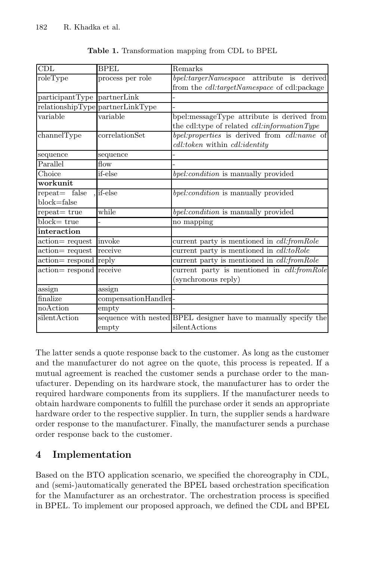| CDL                         | <b>BPEL</b>                      | Remarks                                                         |
|-----------------------------|----------------------------------|-----------------------------------------------------------------|
| roleType                    | process per role                 | bpel:targerNamespace attribute<br>is<br>derived                 |
|                             |                                  | from the <i>cdl:targetNamespace</i> of cdl:package              |
| participantType partnerLink |                                  |                                                                 |
|                             | relationshipType partnerLinkType |                                                                 |
| variable                    | variable                         | bpel:messageType attribute is derived from                      |
|                             |                                  | the cdl:type of related <i>cdl:informationType</i>              |
| channelType                 | correlationSet                   | bpel: properties is derived from cdl:name of                    |
|                             |                                  | cdl:token within cdl:identity                                   |
| sequence                    | sequence                         |                                                                 |
| Parallel                    | flow                             |                                                                 |
| $\overline{\text{Choice}}$  | if-else                          | bpel:condition is manually provided                             |
| workunit                    |                                  |                                                                 |
| $repeat = false$            | if-else                          | bpel:condition is manually provided                             |
| block=false                 |                                  |                                                                 |
| $repeat = true$             | while                            | $\overline{bpel:condition}$ is manually provided                |
| $block = true$              |                                  | no mapping                                                      |
| interaction                 |                                  |                                                                 |
| action=request              | invoke                           | current party is mentioned in call:fromRole                     |
| action=request              | receive                          | current party is mentioned in cdl:toRole                        |
| action=respond reply        |                                  | current party is mentioned in cdl:fromRole                      |
| action= respond receive     |                                  | current party is mentioned in <i>cdl:fromRole</i>               |
|                             |                                  | (synchronous reply)                                             |
| assign                      | assign                           |                                                                 |
| finalize                    | compensationHandler-             |                                                                 |
| noAction                    | empty                            |                                                                 |
| silentAction                |                                  | sequence with nested BPEL designer have to manually specify the |
|                             | empty                            | silentActions                                                   |

<span id="page-5-0"></span>**Table 1.** Transformation mapping from CDL to BPEL

The latter sends a quote response back to the customer. As long as the customer and the manufacturer do not agree on the quote, this process is repeated. If a mutual agreement is reached the customer sends a purchase order to the manufacturer. Depending on its hardware stock, the manufacturer has to order the required hardware components from its suppliers. If the manufacturer needs to obtain hardware components to fulfill the purchase order it sends an appropriate hardware order to the respective supplier. In turn, the supplier sends a hardware order response to the manufacturer. Finally, the manufacturer sends a purchase order response back to the customer.

## **4 Implementation**

Based on the BTO application scenario, we specified the choreography in CDL, and (semi-)automatically generated the BPEL based orchestration specification for the Manufacturer as an orchestrator. The orchestration process is specified in BPEL. To implement our proposed approach, we defined the CDL and BPEL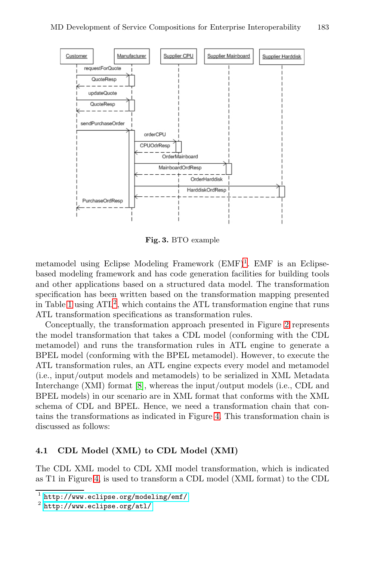

<span id="page-6-0"></span>**Fig. 3.** BTO exam[ple](#page-4-1)

metamodel using Eclipse Modeling Framework (EMF)<sup>1</sup>. EMF is an Eclipsebased modeling framework and has code generation facilities for building tools and other applications based on a structured data model. The transformation specification has been written based on the transformation mapping presented in Table [1](#page-13-6) using ATL<sup>2</sup>, which contains the ATL transformation engine that runs ATL transformation specifications as transformation rules.

Conceptually, the transformation approach presented in Figure 2 represents the model transformation th[at](#page-8-1) takes a CDL model (conforming with the CDL metamodel) and runs the transformation rules in ATL engine to generate a BPEL model (conforming with the BPEL metamodel). However, to execute the ATL transformation rules, an ATL engine expects every model and metamodel (i.e., input/output models and metamodels) to be serialized in XML Metadata Interchange (XMI) format [8], whereas the input/output models (i.e., CDL and BPEL models) in our scenario are in XML format that conforms with the XML schema of CDL and BPEL. Hence, we need a transformation chain that con[tains the transformatio](http://www.eclipse.org/modeling/emf/)ns as indicated in Figure 4. This transformation chain is [discussed as f](http://www.eclipse.org/atl/)ollows:

#### **4.1 CDL Model (XML) to CDL Model (XMI)**

The CDL XML model to CDL XMI model transformation, which is indicated as T1 in Figure 4, is used to transform a CDL model (XML format) to the CDL

<sup>1</sup> http://www.eclipse.org/modeling/emf/

 $2$  http://www.eclipse.org/atl/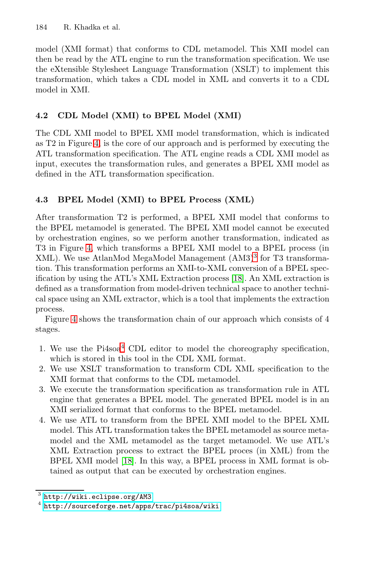model (XMI format) that conforms to CDL metamodel. This XMI model can then be read by the ATL engine to run the transformation specification. We use the eXtensible Stylesheet Language Transformation (XSLT) to implement this transformation, which takes a CDL model in XML and converts it to a CDL model in XMI.

### **4.2 CDL Model (XMI) to BPEL Model (XMI)**

The CDL XMI model to BPEL XMI model transformation, which is indicated as T2 in Figure 4, is the core of our approach and is performed by executing the ATL transformation specification. The ATL engine reads a CDL XMI model as input, executes the transformation rules, and generates a BPEL XMI model as defined in the ATL transformation spec[ifi](#page-7-0)cation.

#### **4.3 BPEL Model (XMI) to [BP](#page-13-7)EL Process (XML)**

After transformation T2 is performed, a BPEL XMI model that conforms to the BPEL metamodel is generated. The BPEL XMI model cannot be executed by orchestration engines, so we perform another transformation, indicated as T3 in Figure 4, which transforms a BPEL XMI model to a BPEL process (in XML). We use AtlanMod MegaModel Management  $(AM3)^3$  for T3 transformatio[n. T](#page-7-1)his transformation performs an XMI-to-XML conversion of a BPEL specification by using the ATL's XML Extraction process [18]. An XML extraction is defined as a transformation from model-driven technical space to another technical space using an XML extractor, which is a tool that implements the extraction process.

Figure 4 shows the transformation chain of our approach which consists of 4 stages.

- 1. We use the  $Pi4soa<sup>4</sup>$  CDL editor to model the choreography specification, which is stored in this tool in the CDL XML format.
- 2. We use XSLT transformation to transform CDL XML specification to the [XM](#page-13-7)I format that conforms to the CDL metamodel.
- 3. We execute the transformation specification as transformation rule in ATL engine that generates a BPEL model. The generated BPEL model is in an XMI serialized format that conforms to the BPEL metamodel.
- <span id="page-7-1"></span><span id="page-7-0"></span>[4. We use A](http://wiki.eclipse.org/AM3)TL to transform from the BPEL XMI model to the BPEL XML [model. This ATL transforma](http://sourceforge.net/apps/trac/pi4soa/wiki)tion takes the BPEL metamodel as source metamodel and the XML metamodel as the target metamodel. We use ATL's XML Extraction process to extract the BPEL proces (in XML) from the BPEL XMI model [18]. In this way, a BPEL process in XML format is obtained as output that can be executed by orchestration engines.

<sup>3</sup> http://wiki.eclipse.org/AM3

<sup>4</sup> http://sourceforge.net/apps/trac/pi4soa/wiki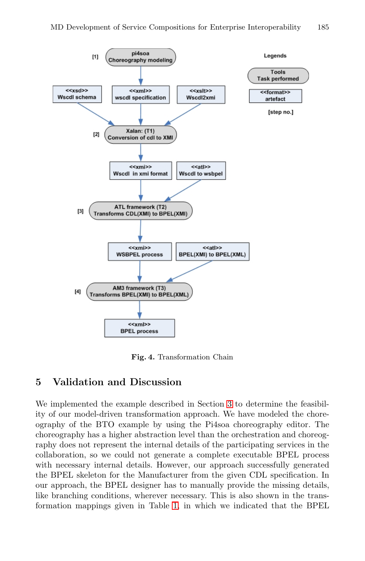

#### MD Development of Service Compositions for Enterprise Interoperability 185

<span id="page-8-1"></span>**Fig. 4.** Transformation Chain

## <span id="page-8-0"></span>**5 Validation and Discussion**

We implemented the example described in Section 3 to determine the feasibility of our model-driven transformation approach. We have modeled the choreography of the B[TO](#page-5-0) example by using the Pi4soa choreography editor. The choreography has a higher abstraction level than the orchestration and choreography does not represent the internal details of the participating services in the collaboration, so we could not generate a complete executable BPEL process with necessary internal details. However, our approach successfully generated the BPEL skeleton for the Manufacturer from the given CDL specification. In our approach, the BPEL designer has to manually provide the missing details, like branching conditions, wherever necessary. This is also shown in the transformation mappings given in Table 1, in which we indicated that the BPEL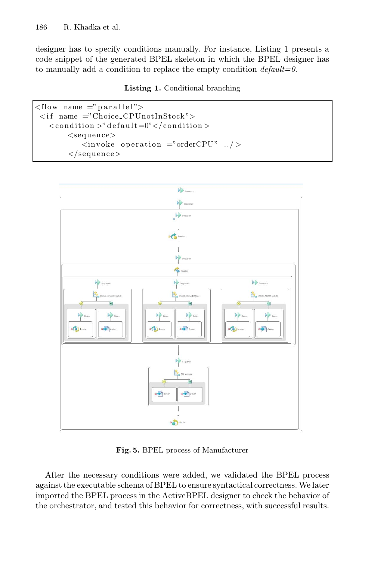designer has to specify conditions manually. For instance, Listing 1 presents a code snippet of the generated BPEL skeleton in which the BPEL designer has to manually add a condition to replace the empty condition *default=0*.

**Listing 1.** Conditional branching

```
\langleflow name =" p a r all el" ><i f name ="Choice CPUnotInStock">
<condition >" d e f a u l t =0"</condition >
     <sequence>
         \langleinvoke operation ="orderCPU" ../ >
     </sequence>
```


**Fig. 5.** BPEL process of Manufacturer

After the necessary conditions were added, we validated the BPEL process against the executable schema of BPEL to ensure syntactical correctness. We later imported the BPEL process in the ActiveBPEL designer to check the behavior of the orchestrator, and tested this behavior for correctness, with successful results.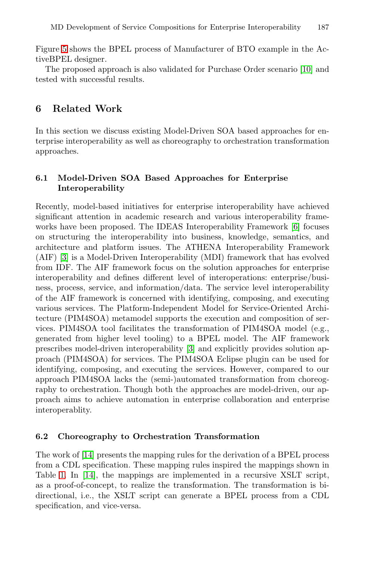<span id="page-10-0"></span>Figure 5 shows the BPEL process of Manufacturer of BTO example in the ActiveBPEL designer.

The proposed approach is also validated for Purchase Order scenario [10] and tested with successful results.

## **6 Related Work**

In this section we discuss existing Model-Driven SOA based approaches for enterprise interoperability as well as choreography to [or](#page-12-4)chestration transformation approaches.

## **6.1 Model-Driven SOA Based Approaches for Enterprise Interoperability**

Recently, model-based initiatives for enterprise interoperability have achieved significant attention in academic research and various interoperability frameworks have been proposed. The IDEAS Interoperability Framework [6] focuses on structuring the interoperability into business, knowledge, semantics, and architecture and platform issues. The ATHENA Interoperability Framework (AIF) [3] is a Model-Driven Interoperability (MDI) framework that has evolved from IDF. The AIF f[ram](#page-12-5)ework focus on the solution approaches for enterprise interoperability and defines different level of interoperations: enterprise/business, process, service, and information/data. The service level interoperability of the AIF framework is concerned with identifying, composing, and executing various services. The Platform-Independent Model for Service-Oriented Architecture (PIM4SOA) metamodel supports the execution and composition of services. PIM4SOA tool facilitates the transformation of PIM4SOA model (e.g., generated from higher level tooling) to a BPEL model. The AIF framework prescribes model-driven interoperability [3] and explicitly provides solution approach (PIM4SOA) for services. The PIM4SOA Eclipse plugin can be used for identifying, composing, and executing the services. However, compared to our approach PIM4SOA lacks the (semi-)automated transformation from choreography to orchestration. Though both the approaches are model-driven, our approach aims to achieve automation in enterprise collaboration and enterprise interoperablity.

#### **6.2 Choreography to Orchestration Transformation**

The work of [14] presents the mapping rules for the derivation of a BPEL process from a CDL specification. These mapping rules inspired the mappings shown in Table 1. In [14], the mappings are implemented in a recursive XSLT script, as a proof-of-concept, to realize the transformation. The transformation is bidirectional, i.e., the XSLT script can generate a BPEL process from a CDL specification, and vice-versa.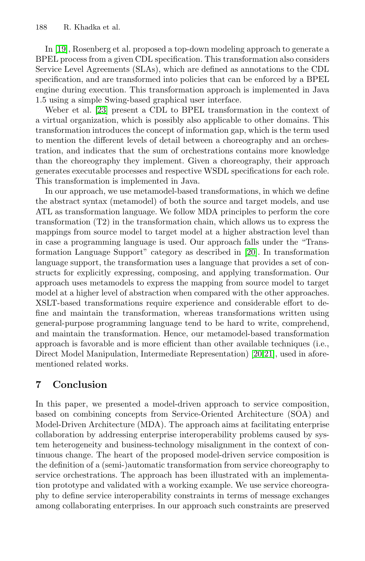In [19], Rosenberg et al. proposed a top-down modeling approach to generate a BPEL process from a given CDL specification. This transformation also considers Service Level Agreements (SLAs), which are defined as annotations to the CDL specification, and are transformed into policies that can be enforced by a BPEL engine during execution. This transformation approach is implemented in Java 1.5 using a simple Swing-based graphical user interface.

Weber et al. [23] present a CDL to BPEL transformation in the context of a virtual organization, which is possibly also applicable to other domains. This transformation introduces the concept of information gap, which is the term used to mention the different levels of detail between a choreography and an orchestration, and indicates that the sum of orchestrations contains more knowledge than the choreography they implement. Given a choreography, their approach generates executable processes and res[pec](#page-13-9)tive WSDL specifications for each role. This transformation is implemented in Java.

In our approach, we use metamodel-based transformations, in which we define the abstract syntax (metamodel) of both the source and target models, and use ATL as transformation language. We follow MDA principles to perform the core transformation (T2) in the transformation chain, which allows us to express the mappings from source model to target model at a higher abstraction level than in case a programming language is used. Our approach falls under the "Transformation Language Support" category as described in [20]. In transformation language support, the transformation uses a language that provides a set of constructs for explicitly expressing, compo[sin](#page-13-9)[g, a](#page-13-10)nd applying transformation. Our approach uses metamodels to express the mapping from source model to target model at a higher level of abstraction when compared with the other approaches. XSLT-based transformations require experience and considerable effort to define and maintain the transformation, whereas transformations written using general-purpose programming language tend to be hard to write, comprehend, and maintain the transformation. Hence, our metamodel-based transformation approach is favorable and is more efficient than other available techniques (i.e., Direct Model Manipulation, Intermediate Representation) [20,21], used in aforementioned related works.

## **7 Conclusion**

In this paper, we presented a model-driven approach to service composition, based on combining concepts from Service-Oriented Architecture (SOA) and Model-Driven Architecture (MDA). The approach aims at facilitating enterprise collaboration by addressing enterprise interoperability problems caused by system heterogeneity and business-technology misalignment in the context of continuous change. The heart of the proposed model-driven service composition is the definition of a (semi-)automatic transformation from service choreography to service orchestrations. The approach has been illustrated with an implementation prototype and validated with a working example. We use service choreography to define service interoperability constraints in terms of message exchanges among collaborating enterprises. In our approach such constraints are preserved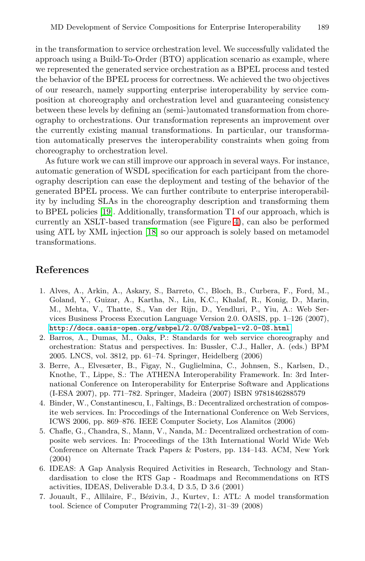in the transformation to service orchestration level. We successfully validated the approach using a Build-To-Order (BTO) application scenario as example, where we represented the generated service orchestration as a BPEL process and tested the behavior of the BPEL process for correctness. We achieved the two objectives of our research, namely supporting enterprise interoperability by service composition at choreography and orchestration level and guaranteeing consistency between these levels by defining an (semi-)automated transformation from choreography to orchestrations. Our transformation represents an improvement over [th](#page-13-5)e currently existing manual transformations. In particular, our transformation automatically preserves the i[nt](#page-8-1)eroperability constraints when going from choreograp[hy](#page-13-7) to orchestration level.

As future work we can still improve our approach in several ways. For instance, automatic generation of WSDL specification for each participant from the choreography description can ease the deployment and testing of the behavior of the generated BPEL process. We can further contribute to enterprise interoperability by including SLAs in the choreography description and transforming them to BPEL policies [19]. Additionally, transformation T1 of our approach, which is currently an XSLT-based transformation (see Figure 4), can also be performed using ATL by XML injection [18] so our approach is solely based on metamodel [transformations.](http://docs.oasis-open.org/wsbpel/2.0/OS/wsbpel-v2.0-OS.html)

## <span id="page-12-5"></span><span id="page-12-0"></span>**References**

- 1. Alves, A., Arkin, A., Askary, S., Barreto, C., Bloch, B., Curbera, F., Ford, M., Goland, Y., Guizar, A., Kartha, N., Liu, K.C., Khalaf, R., Konig, D., Marin, M., Mehta, V., Thatte, S., Van der Rijn, D., Yendluri, P., Yiu, A.: Web Services Business Process Execution Language Version 2.0. OASIS, pp. 1–126 (2007), http://docs.oasis-open.org/wsbpel/2.0/OS/wsbpel-v2.0-OS.html
- <span id="page-12-2"></span><span id="page-12-1"></span>2. Barros, A., Dumas, M., Oaks, P.: Standards for web service choreography and orchestration: Status and perspectives. In: Bussler, C.J., Haller, A. (eds.) BPM 2005. LNCS, vol. 3812, pp. 61–74. Springer, Heidelberg (2006)
- <span id="page-12-4"></span>3. Berre, A., Elvesæter, B., Figay, N., Guglielmina, C., Johnsen, S., Karlsen, D., Knothe, T., Lippe, S.: The ATHENA Interoperability Framework. In: 3rd International Conference on Interoperability for Enterprise Software and Applications (I-ESA 2007), pp. 771–782. Springer, Madeira (2007) ISBN 9781846288579
- <span id="page-12-3"></span>4. Binder, W., Constantinescu, I., Faltings, B.: Decentralized orchestration of composite web services. In: Proccedings of the International Conference on Web Services, ICWS 2006, pp. 869–876. IEEE Computer Society, Los Alamitos (2006)
- 5. Chafle, G., Chandra, S., Mann, V., Nanda, M.: Decentralized orchestration of composite web services. In: Proceedings of the 13th International World Wide Web Conference on Alternate Track Papers & Posters, pp. 134–143. ACM, New York (2004)
- 6. IDEAS: A Gap Analysis Required Activities in Research, Technology and Standardisation to close the RTS Gap - Roadmaps and Recommendations on RTS activities, IDEAS, Deliverable D.3.4, D 3.5, D 3.6 (2001)
- 7. Jouault, F., Allilaire, F., B´ezivin, J., Kurtev, I.: ATL: A model transformation tool. Science of Computer Programming 72(1-2), 31–39 (2008)